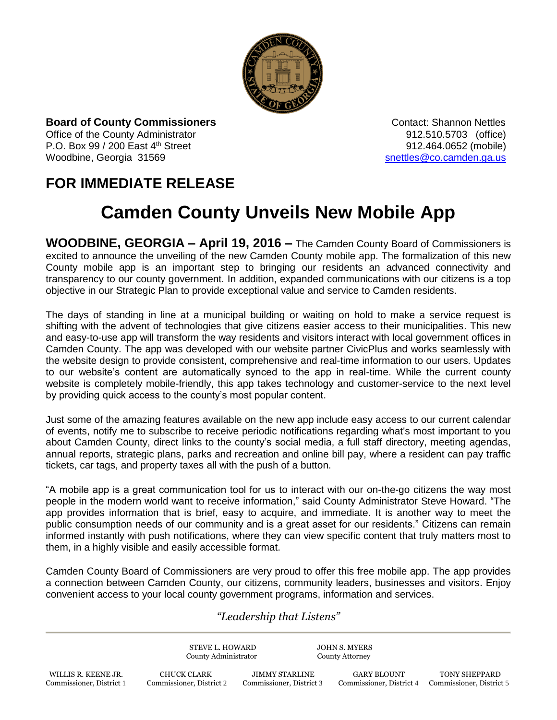

**Board of County Commissioners Contact: Shannon Nettles Contact: Shannon Nettles** Office of the County Administrator 912.510.5703 (office) P.O. Box 99 / 200 East 4<sup>th</sup> Street 912.464.0652 (mobile) Woodbine, Georgia 31569 [snettles@co.camden.ga.us](mailto:snettles@co.camden.ga.us)

## **FOR IMMEDIATE RELEASE**

## **Camden County Unveils New Mobile App**

**WOODBINE, GEORGIA – April 19, 2016 –** The Camden County Board of Commissioners is excited to announce the unveiling of the new Camden County mobile app. The formalization of this new County mobile app is an important step to bringing our residents an advanced connectivity and transparency to our county government. In addition, expanded communications with our citizens is a top objective in our Strategic Plan to provide exceptional value and service to Camden residents.

The days of standing in line at a municipal building or waiting on hold to make a service request is shifting with the advent of technologies that give citizens easier access to their municipalities. This new and easy-to-use app will transform the way residents and visitors interact with local government offices in Camden County. The app was developed with our website partner CivicPlus and works seamlessly with the website design to provide consistent, comprehensive and real-time information to our users. Updates to our website's content are automatically synced to the app in real-time. While the current county website is completely mobile-friendly, this app takes technology and customer-service to the next level by providing quick access to the county's most popular content.

Just some of the amazing features available on the new app include easy access to our current calendar of events, notify me to subscribe to receive periodic notifications regarding what's most important to you about Camden County, direct links to the county's social media, a full staff directory, meeting agendas, annual reports, strategic plans, parks and recreation and online bill pay, where a resident can pay traffic tickets, car tags, and property taxes all with the push of a button.

"A mobile app is a great communication tool for us to interact with our on-the-go citizens the way most people in the modern world want to receive information," said County Administrator Steve Howard. "The app provides information that is brief, easy to acquire, and immediate. It is another way to meet the public consumption needs of our community and is a great asset for our residents." Citizens can remain informed instantly with push notifications, where they can view specific content that truly matters most to them, in a highly visible and easily accessible format.

Camden County Board of Commissioners are very proud to offer this free mobile app. The app provides a connection between Camden County, our citizens, community leaders, businesses and visitors. Enjoy convenient access to your local county government programs, information and services.

## *"Leadership that Listens"*

STEVE L. HOWARD JOHN S. MYERS County Administrator County Attorney WILLIS R. KEENE JR. CHUCK CLARK JIMMY STARLINE GARY BLOUNT TONY SHEPPARD Commissioner, District 1 Commissioner, District 2 Commissioner, District 3 Commissioner, District 4 Commissioner, District 5